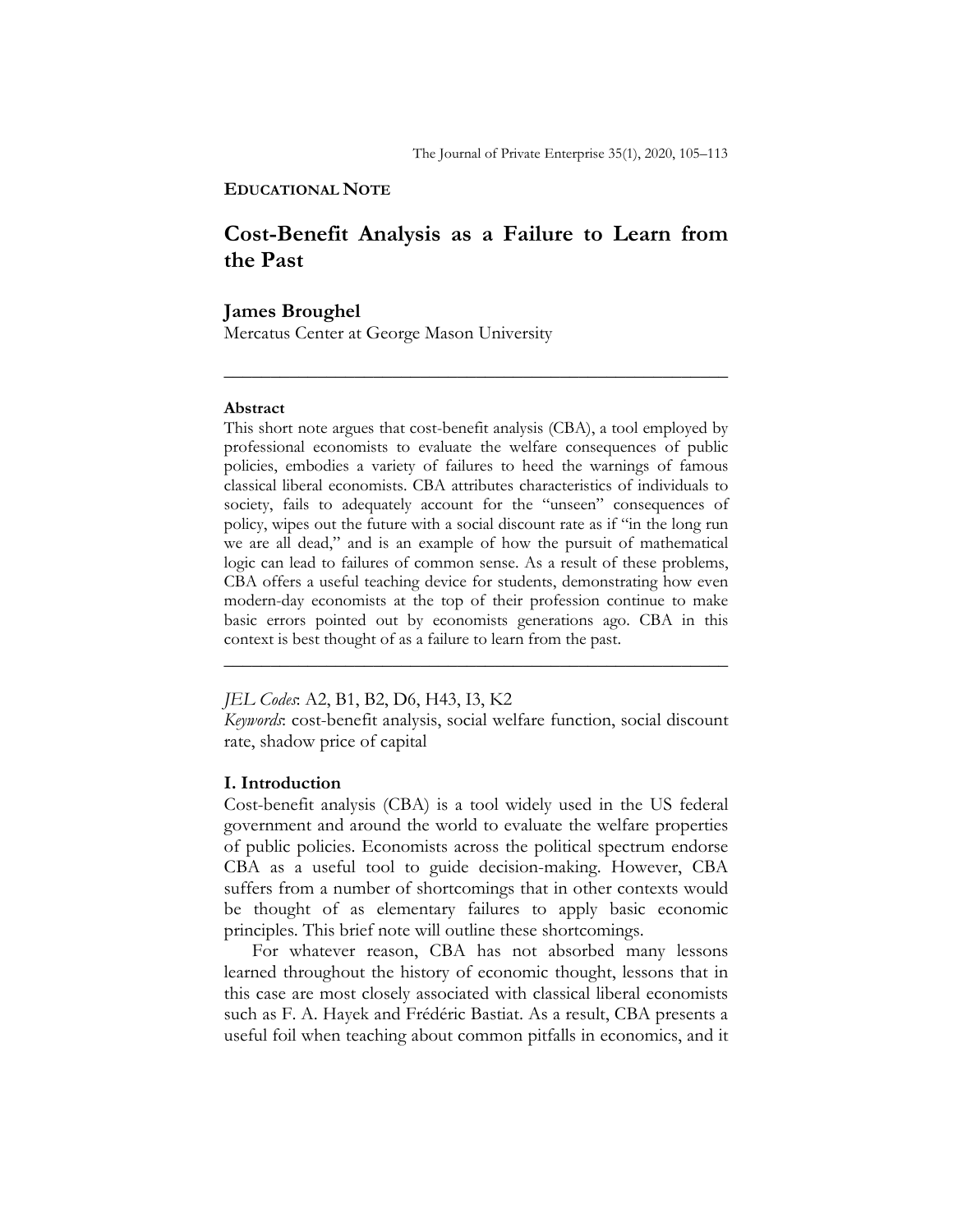## **EDUCATIONAL NOTE**

# **Cost-Benefit Analysis as a Failure to Learn from the Past**

\_\_\_\_\_\_\_\_\_\_\_\_\_\_\_\_\_\_\_\_\_\_\_\_\_\_\_\_\_\_\_\_\_\_\_\_\_\_\_\_\_\_\_\_\_\_\_\_\_\_\_\_\_\_

# **James Broughel**

Mercatus Center at George Mason University

### **Abstract**

This short note argues that cost-benefit analysis (CBA), a tool employed by professional economists to evaluate the welfare consequences of public policies, embodies a variety of failures to heed the warnings of famous classical liberal economists. CBA attributes characteristics of individuals to society, fails to adequately account for the "unseen" consequences of policy, wipes out the future with a social discount rate as if "in the long run we are all dead," and is an example of how the pursuit of mathematical logic can lead to failures of common sense. As a result of these problems, CBA offers a useful teaching device for students, demonstrating how even modern-day economists at the top of their profession continue to make basic errors pointed out by economists generations ago. CBA in this context is best thought of as a failure to learn from the past.

*JEL Codes*: A2, B1, B2, D6, H43, I3, K2

*Keywords*: cost-benefit analysis, social welfare function, social discount rate, shadow price of capital

\_\_\_\_\_\_\_\_\_\_\_\_\_\_\_\_\_\_\_\_\_\_\_\_\_\_\_\_\_\_\_\_\_\_\_\_\_\_\_\_\_\_\_\_\_\_\_\_\_\_\_\_\_\_

## **I. Introduction**

Cost-benefit analysis (CBA) is a tool widely used in the US federal government and around the world to evaluate the welfare properties of public policies. Economists across the political spectrum endorse CBA as a useful tool to guide decision-making. However, CBA suffers from a number of shortcomings that in other contexts would be thought of as elementary failures to apply basic economic principles. This brief note will outline these shortcomings.

For whatever reason, CBA has not absorbed many lessons learned throughout the history of economic thought, lessons that in this case are most closely associated with classical liberal economists such as F. A. Hayek and Frédéric Bastiat. As a result, CBA presents a useful foil when teaching about common pitfalls in economics, and it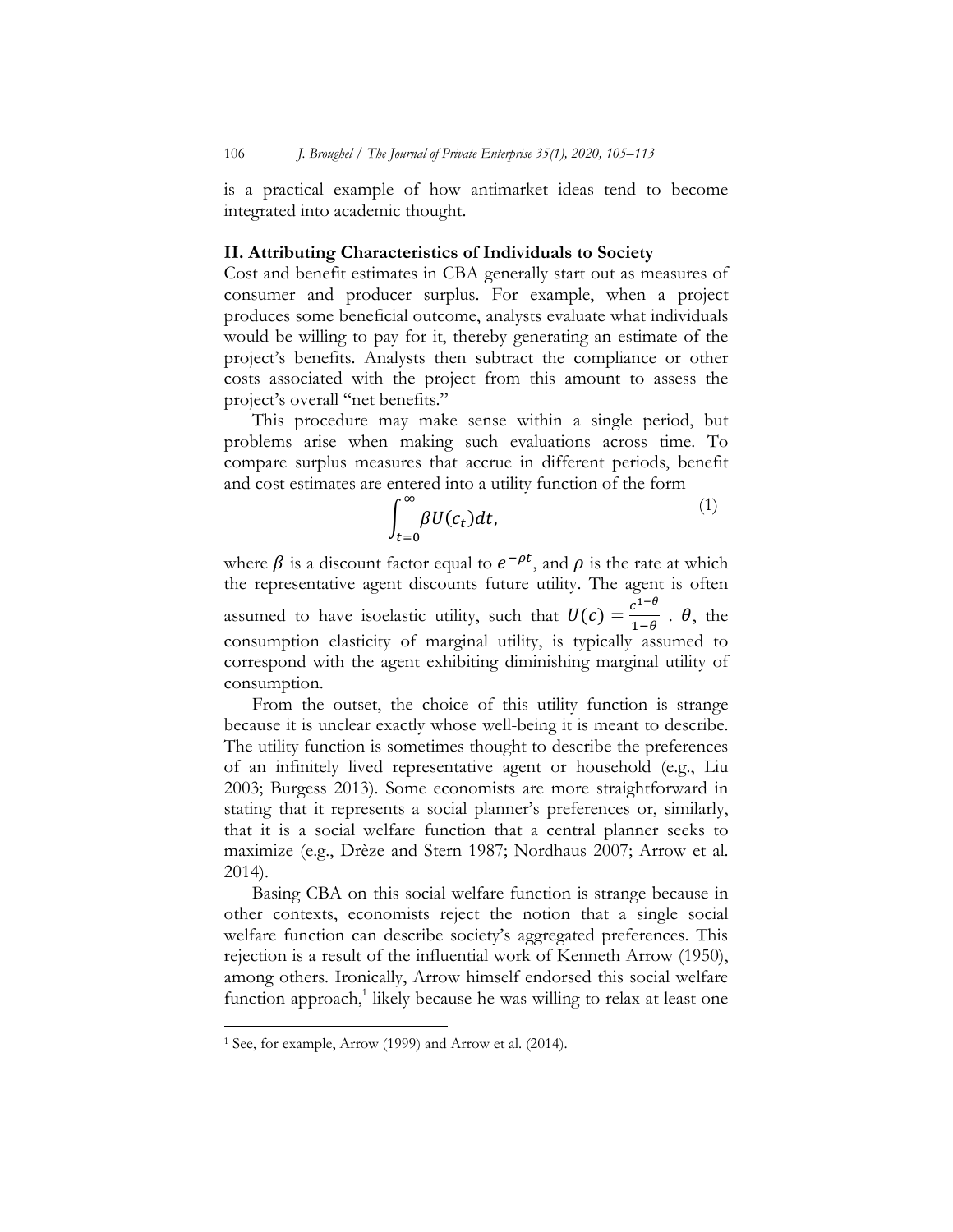is a practical example of how antimarket ideas tend to become integrated into academic thought.

## **II. Attributing Characteristics of Individuals to Society**

Cost and benefit estimates in CBA generally start out as measures of consumer and producer surplus. For example, when a project produces some beneficial outcome, analysts evaluate what individuals would be willing to pay for it, thereby generating an estimate of the project's benefits. Analysts then subtract the compliance or other costs associated with the project from this amount to assess the project's overall "net benefits."

This procedure may make sense within a single period, but problems arise when making such evaluations across time. To compare surplus measures that accrue in different periods, benefit and cost estimates are entered into a utility function of the form

$$
\int_{t=0}^{\infty} \beta U(c_t) dt, \tag{1}
$$

where  $\beta$  is a discount factor equal to  $e^{-\rho t}$ , and  $\rho$  is the rate at which the representative agent discounts future utility. The agent is often assumed to have isoelastic utility, such that  $U(c) = \frac{c^{1-\theta}}{1-\theta}$ .  $\theta$ , the consumption elasticity of marginal utility, is typically assumed to correspond with the agent exhibiting diminishing marginal utility of consumption.

From the outset, the choice of this utility function is strange because it is unclear exactly whose well-being it is meant to describe. The utility function is sometimes thought to describe the preferences of an infinitely lived representative agent or household (e.g., Liu 2003; Burgess 2013). Some economists are more straightforward in stating that it represents a social planner's preferences or, similarly, that it is a social welfare function that a central planner seeks to maximize (e.g., Drèze and Stern 1987; Nordhaus 2007; Arrow et al. 2014).

Basing CBA on this social welfare function is strange because in other contexts, economists reject the notion that a single social welfare function can describe society's aggregated preferences. This rejection is a result of the influential work of Kenneth Arrow (1950), among others. Ironically, Arrow himself endorsed this social welfare function approach,<sup>1</sup> likely because he was willing to relax at least one

l

<sup>1</sup> See, for example, Arrow (1999) and Arrow et al. (2014).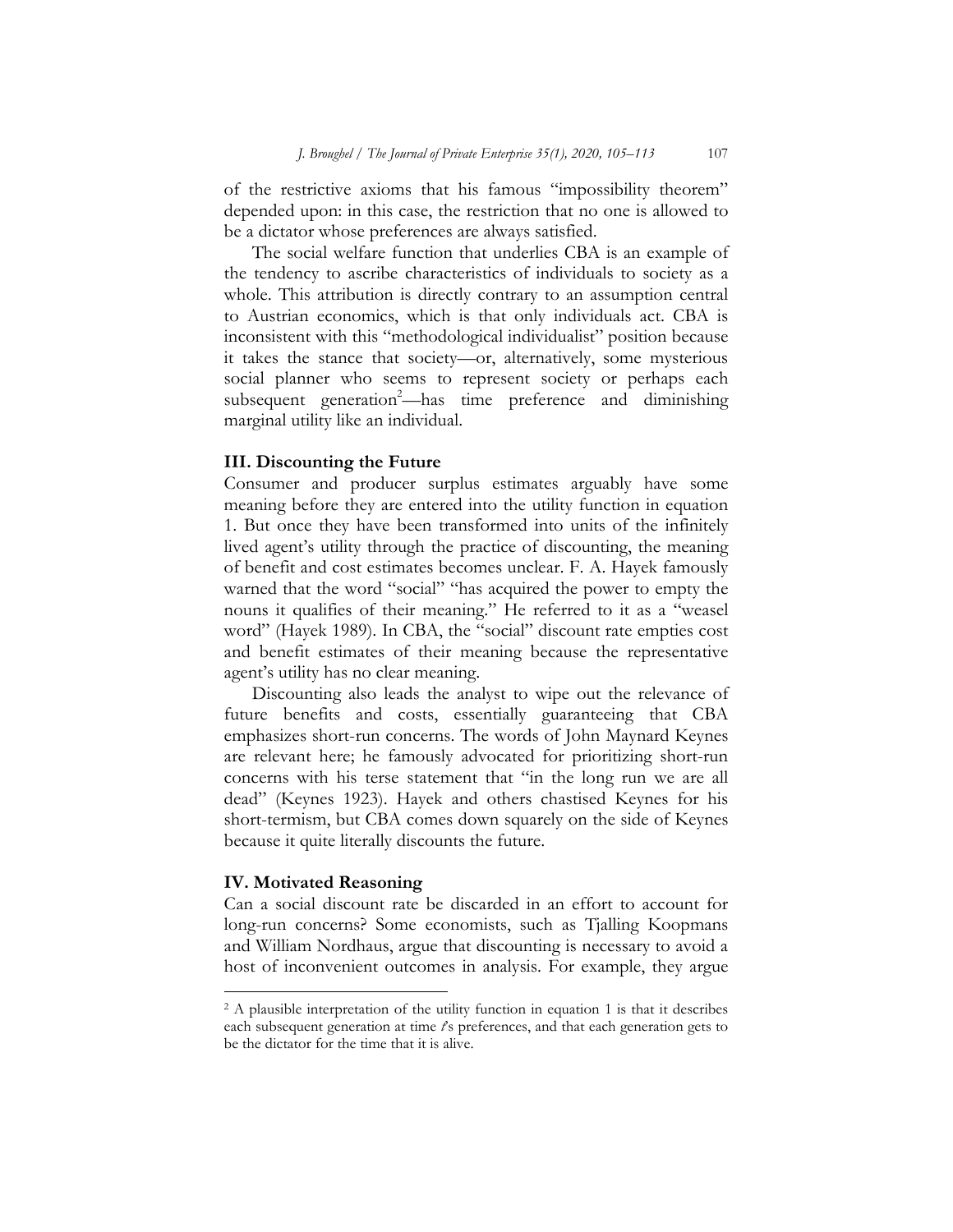of the restrictive axioms that his famous "impossibility theorem" depended upon: in this case, the restriction that no one is allowed to be a dictator whose preferences are always satisfied.

The social welfare function that underlies CBA is an example of the tendency to ascribe characteristics of individuals to society as a whole. This attribution is directly contrary to an assumption central to Austrian economics, which is that only individuals act. CBA is inconsistent with this "methodological individualist" position because it takes the stance that society—or, alternatively, some mysterious social planner who seems to represent society or perhaps each subsequent generation<sup>2</sup>—has time preference and diminishing marginal utility like an individual.

# **III. Discounting the Future**

Consumer and producer surplus estimates arguably have some meaning before they are entered into the utility function in equation 1. But once they have been transformed into units of the infinitely lived agent's utility through the practice of discounting, the meaning of benefit and cost estimates becomes unclear. F. A. Hayek famously warned that the word "social" "has acquired the power to empty the nouns it qualifies of their meaning." He referred to it as a "weasel word" (Hayek 1989). In CBA, the "social" discount rate empties cost and benefit estimates of their meaning because the representative agent's utility has no clear meaning.

Discounting also leads the analyst to wipe out the relevance of future benefits and costs, essentially guaranteeing that CBA emphasizes short-run concerns. The words of John Maynard Keynes are relevant here; he famously advocated for prioritizing short-run concerns with his terse statement that "in the long run we are all dead" (Keynes 1923). Hayek and others chastised Keynes for his short-termism, but CBA comes down squarely on the side of Keynes because it quite literally discounts the future.

# **IV. Motivated Reasoning**

l

Can a social discount rate be discarded in an effort to account for long-run concerns? Some economists, such as Tjalling Koopmans and William Nordhaus, argue that discounting is necessary to avoid a host of inconvenient outcomes in analysis. For example, they argue

<sup>&</sup>lt;sup>2</sup> A plausible interpretation of the utility function in equation 1 is that it describes each subsequent generation at time *t*'s preferences, and that each generation gets to be the dictator for the time that it is alive.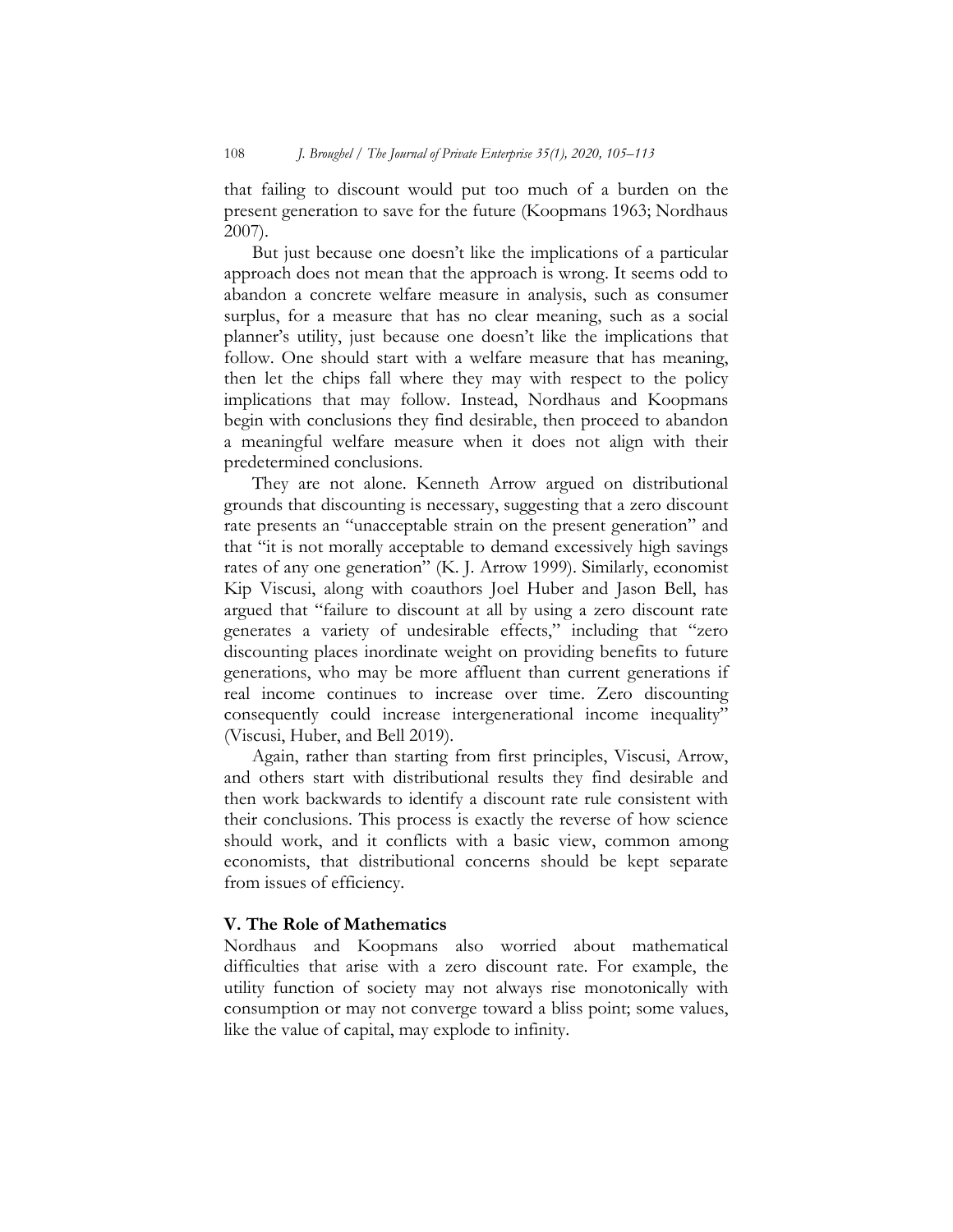that failing to discount would put too much of a burden on the present generation to save for the future (Koopmans 1963; Nordhaus 2007).

But just because one doesn't like the implications of a particular approach does not mean that the approach is wrong. It seems odd to abandon a concrete welfare measure in analysis, such as consumer surplus, for a measure that has no clear meaning, such as a social planner's utility, just because one doesn't like the implications that follow. One should start with a welfare measure that has meaning, then let the chips fall where they may with respect to the policy implications that may follow. Instead, Nordhaus and Koopmans begin with conclusions they find desirable, then proceed to abandon a meaningful welfare measure when it does not align with their predetermined conclusions.

They are not alone. Kenneth Arrow argued on distributional grounds that discounting is necessary, suggesting that a zero discount rate presents an "unacceptable strain on the present generation" and that "it is not morally acceptable to demand excessively high savings rates of any one generation" (K. J. Arrow 1999). Similarly, economist Kip Viscusi, along with coauthors Joel Huber and Jason Bell, has argued that "failure to discount at all by using a zero discount rate generates a variety of undesirable effects," including that "zero discounting places inordinate weight on providing benefits to future generations, who may be more affluent than current generations if real income continues to increase over time. Zero discounting consequently could increase intergenerational income inequality" (Viscusi, Huber, and Bell 2019).

Again, rather than starting from first principles, Viscusi, Arrow, and others start with distributional results they find desirable and then work backwards to identify a discount rate rule consistent with their conclusions. This process is exactly the reverse of how science should work, and it conflicts with a basic view, common among economists, that distributional concerns should be kept separate from issues of efficiency.

# **V. The Role of Mathematics**

Nordhaus and Koopmans also worried about mathematical difficulties that arise with a zero discount rate. For example, the utility function of society may not always rise monotonically with consumption or may not converge toward a bliss point; some values, like the value of capital, may explode to infinity.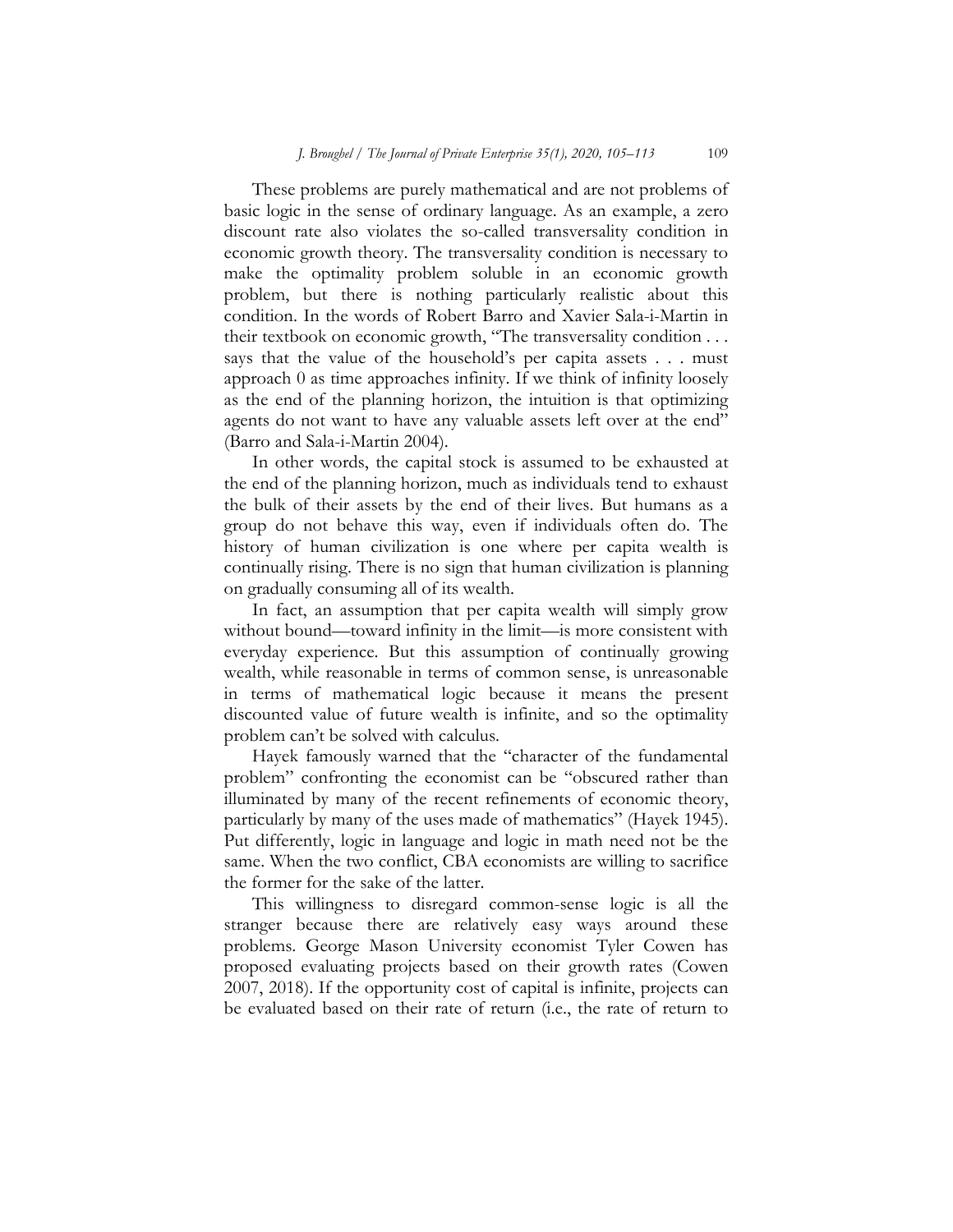These problems are purely mathematical and are not problems of basic logic in the sense of ordinary language. As an example, a zero discount rate also violates the so-called transversality condition in economic growth theory. The transversality condition is necessary to make the optimality problem soluble in an economic growth problem, but there is nothing particularly realistic about this condition. In the words of Robert Barro and Xavier Sala-i-Martin in their textbook on economic growth, "The transversality condition . . . says that the value of the household's per capita assets . . . must approach 0 as time approaches infinity. If we think of infinity loosely as the end of the planning horizon, the intuition is that optimizing agents do not want to have any valuable assets left over at the end" (Barro and Sala-i-Martin 2004).

In other words, the capital stock is assumed to be exhausted at the end of the planning horizon, much as individuals tend to exhaust the bulk of their assets by the end of their lives. But humans as a group do not behave this way, even if individuals often do. The history of human civilization is one where per capita wealth is continually rising. There is no sign that human civilization is planning on gradually consuming all of its wealth.

In fact, an assumption that per capita wealth will simply grow without bound—toward infinity in the limit—is more consistent with everyday experience. But this assumption of continually growing wealth, while reasonable in terms of common sense, is unreasonable in terms of mathematical logic because it means the present discounted value of future wealth is infinite, and so the optimality problem can't be solved with calculus.

Hayek famously warned that the "character of the fundamental problem" confronting the economist can be "obscured rather than illuminated by many of the recent refinements of economic theory, particularly by many of the uses made of mathematics" (Hayek 1945). Put differently, logic in language and logic in math need not be the same. When the two conflict, CBA economists are willing to sacrifice the former for the sake of the latter.

This willingness to disregard common-sense logic is all the stranger because there are relatively easy ways around these problems. George Mason University economist Tyler Cowen has proposed evaluating projects based on their growth rates (Cowen 2007, 2018). If the opportunity cost of capital is infinite, projects can be evaluated based on their rate of return (i.e., the rate of return to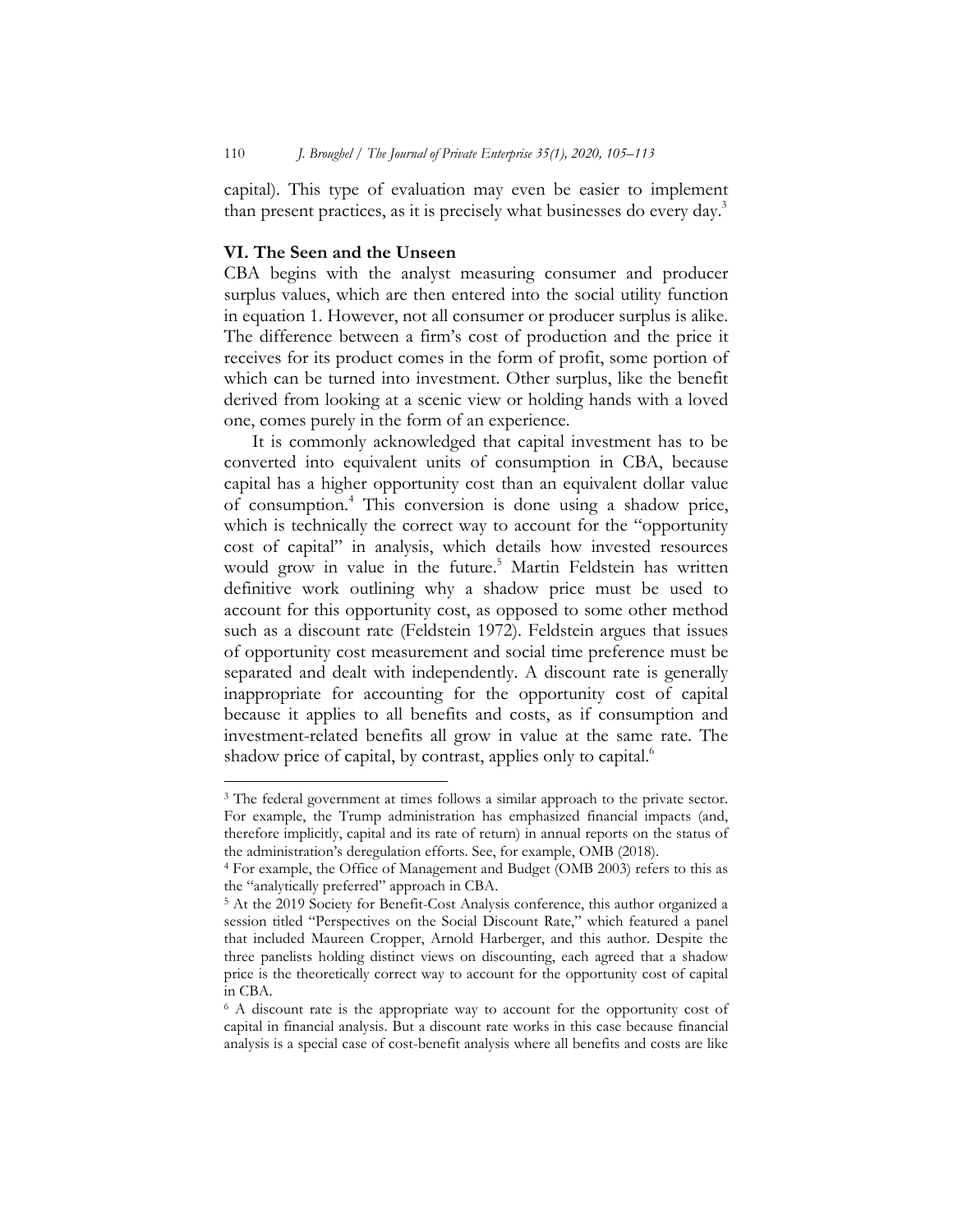capital). This type of evaluation may even be easier to implement than present practices, as it is precisely what businesses do every day.<sup>3</sup>

## **VI. The Seen and the Unseen**

l

CBA begins with the analyst measuring consumer and producer surplus values, which are then entered into the social utility function in equation 1. However, not all consumer or producer surplus is alike. The difference between a firm's cost of production and the price it receives for its product comes in the form of profit, some portion of which can be turned into investment. Other surplus, like the benefit derived from looking at a scenic view or holding hands with a loved one, comes purely in the form of an experience.

It is commonly acknowledged that capital investment has to be converted into equivalent units of consumption in CBA, because capital has a higher opportunity cost than an equivalent dollar value of consumption.<sup>4</sup> This conversion is done using a shadow price, which is technically the correct way to account for the "opportunity" cost of capital" in analysis, which details how invested resources would grow in value in the future.<sup>5</sup> Martin Feldstein has written definitive work outlining why a shadow price must be used to account for this opportunity cost, as opposed to some other method such as a discount rate (Feldstein 1972). Feldstein argues that issues of opportunity cost measurement and social time preference must be separated and dealt with independently. A discount rate is generally inappropriate for accounting for the opportunity cost of capital because it applies to all benefits and costs, as if consumption and investment-related benefits all grow in value at the same rate. The shadow price of capital, by contrast, applies only to capital.<sup>6</sup>

<sup>&</sup>lt;sup>3</sup> The federal government at times follows a similar approach to the private sector. For example, the Trump administration has emphasized financial impacts (and, therefore implicitly, capital and its rate of return) in annual reports on the status of the administration's deregulation efforts. See, for example, OMB (2018).

<sup>4</sup> For example, the Office of Management and Budget (OMB 2003) refers to this as the "analytically preferred" approach in CBA.

<sup>5</sup> At the 2019 Society for Benefit-Cost Analysis conference, this author organized a session titled "Perspectives on the Social Discount Rate," which featured a panel that included Maureen Cropper, Arnold Harberger, and this author. Despite the three panelists holding distinct views on discounting, each agreed that a shadow price is the theoretically correct way to account for the opportunity cost of capital in CBA.

<sup>&</sup>lt;sup>6</sup> A discount rate is the appropriate way to account for the opportunity cost of capital in financial analysis. But a discount rate works in this case because financial analysis is a special case of cost-benefit analysis where all benefits and costs are like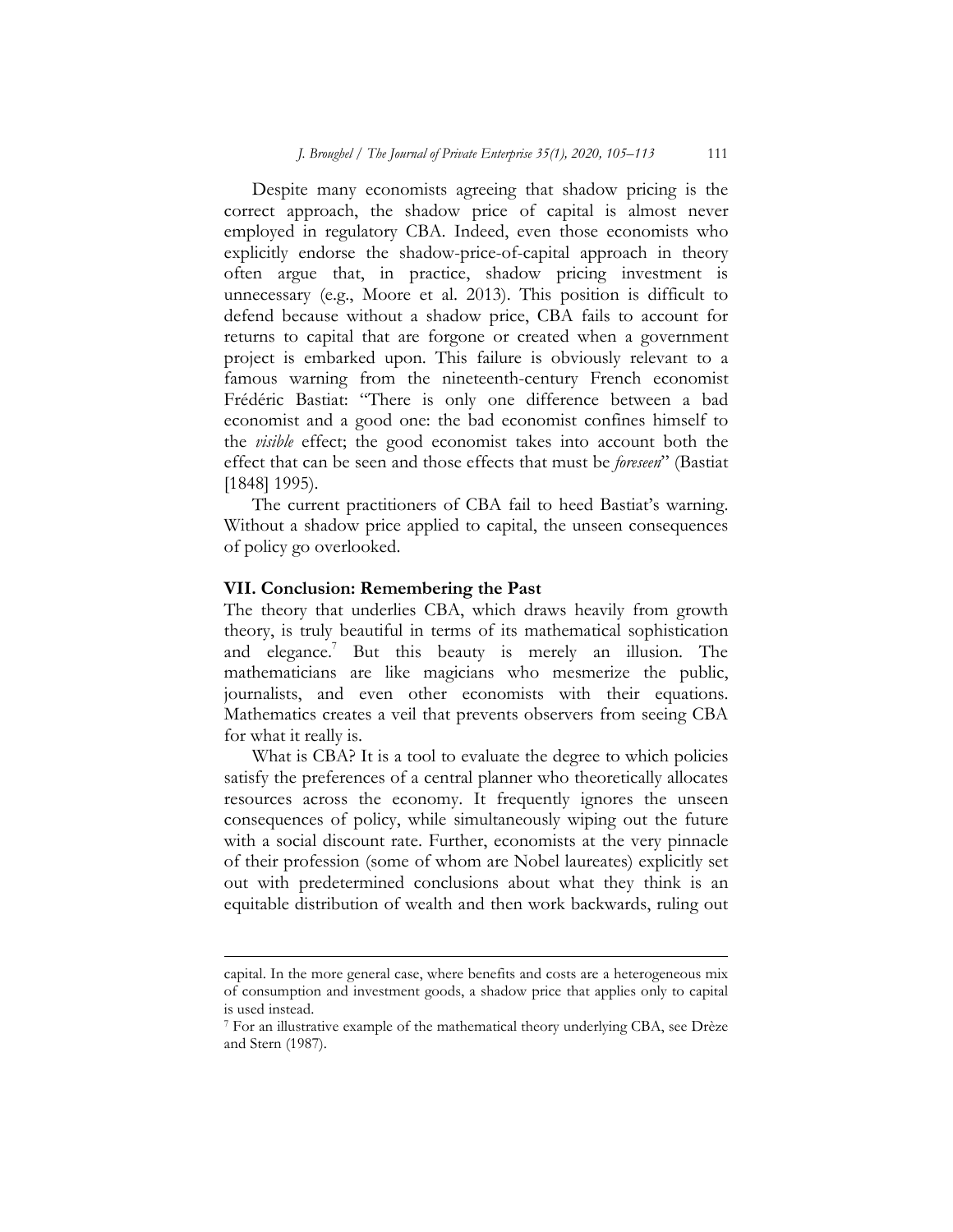Despite many economists agreeing that shadow pricing is the correct approach, the shadow price of capital is almost never employed in regulatory CBA. Indeed, even those economists who explicitly endorse the shadow-price-of-capital approach in theory often argue that, in practice, shadow pricing investment is unnecessary (e.g., Moore et al. 2013). This position is difficult to defend because without a shadow price, CBA fails to account for returns to capital that are forgone or created when a government project is embarked upon. This failure is obviously relevant to a famous warning from the nineteenth-century French economist Frédéric Bastiat: "There is only one difference between a bad economist and a good one: the bad economist confines himself to the *visible* effect; the good economist takes into account both the effect that can be seen and those effects that must be *foreseen*" (Bastiat [1848] 1995).

The current practitioners of CBA fail to heed Bastiat's warning. Without a shadow price applied to capital, the unseen consequences of policy go overlooked.

# **VII. Conclusion: Remembering the Past**

l

The theory that underlies CBA, which draws heavily from growth theory, is truly beautiful in terms of its mathematical sophistication and elegance.<sup>7</sup> But this beauty is merely an illusion. The mathematicians are like magicians who mesmerize the public, journalists, and even other economists with their equations. Mathematics creates a veil that prevents observers from seeing CBA for what it really is.

What is CBA? It is a tool to evaluate the degree to which policies satisfy the preferences of a central planner who theoretically allocates resources across the economy. It frequently ignores the unseen consequences of policy, while simultaneously wiping out the future with a social discount rate. Further, economists at the very pinnacle of their profession (some of whom are Nobel laureates) explicitly set out with predetermined conclusions about what they think is an equitable distribution of wealth and then work backwards, ruling out

capital. In the more general case, where benefits and costs are a heterogeneous mix of consumption and investment goods, a shadow price that applies only to capital is used instead.

<sup>7</sup> For an illustrative example of the mathematical theory underlying CBA, see Drèze and Stern (1987).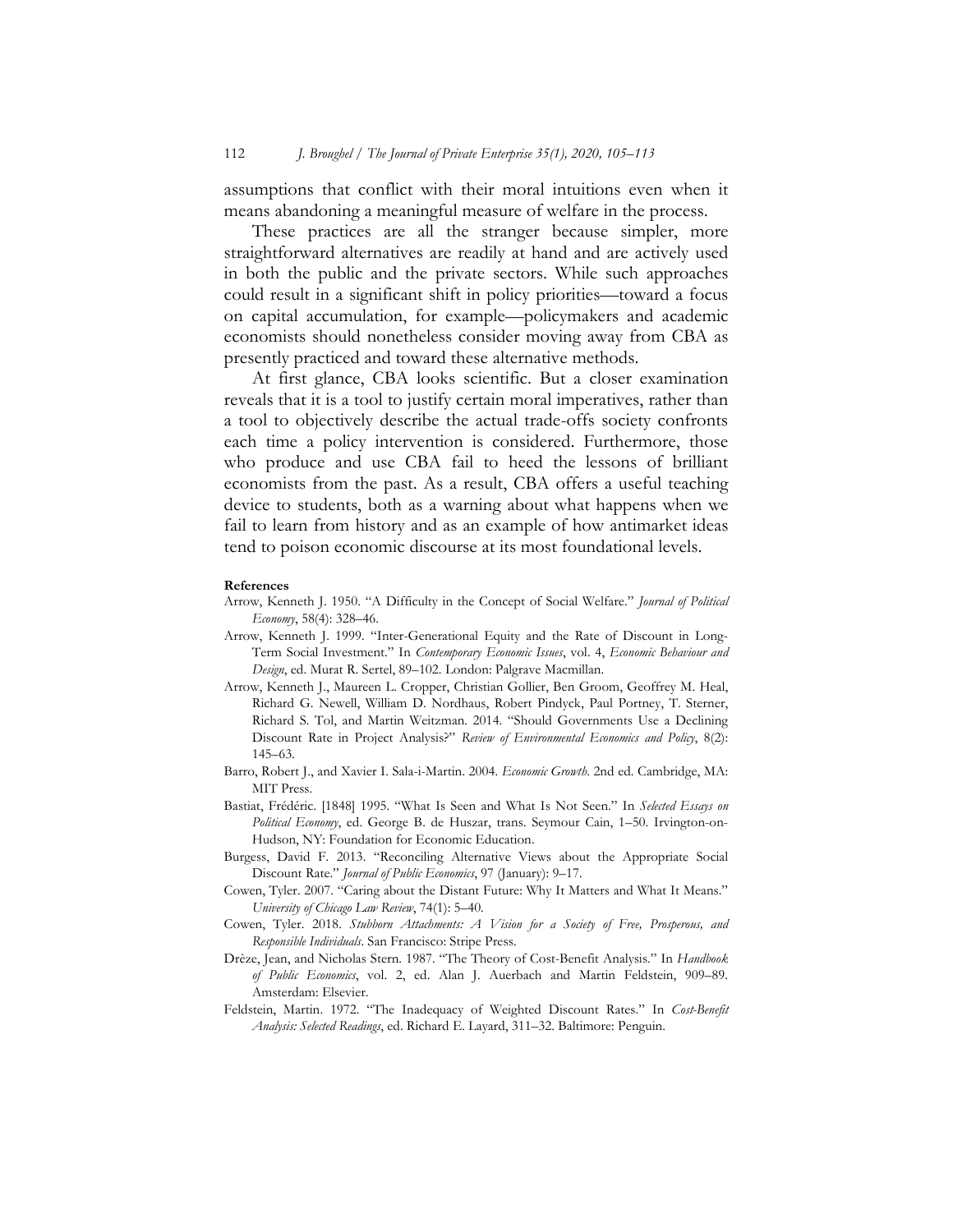assumptions that conflict with their moral intuitions even when it means abandoning a meaningful measure of welfare in the process.

These practices are all the stranger because simpler, more straightforward alternatives are readily at hand and are actively used in both the public and the private sectors. While such approaches could result in a significant shift in policy priorities—toward a focus on capital accumulation, for example—policymakers and academic economists should nonetheless consider moving away from CBA as presently practiced and toward these alternative methods.

At first glance, CBA looks scientific. But a closer examination reveals that it is a tool to justify certain moral imperatives, rather than a tool to objectively describe the actual trade-offs society confronts each time a policy intervention is considered. Furthermore, those who produce and use CBA fail to heed the lessons of brilliant economists from the past. As a result, CBA offers a useful teaching device to students, both as a warning about what happens when we fail to learn from history and as an example of how antimarket ideas tend to poison economic discourse at its most foundational levels.

#### **References**

- Arrow, Kenneth J. 1950. "A Difficulty in the Concept of Social Welfare." *Journal of Political Economy*, 58(4): 328–46.
- Arrow, Kenneth J. 1999. "Inter-Generational Equity and the Rate of Discount in Long-Term Social Investment." In *Contemporary Economic Issues*, vol. 4, *Economic Behaviour and Design*, ed. Murat R. Sertel, 89–102. London: Palgrave Macmillan.
- Arrow, Kenneth J., Maureen L. Cropper, Christian Gollier, Ben Groom, Geoffrey M. Heal, Richard G. Newell, William D. Nordhaus, Robert Pindyck, Paul Portney, T. Sterner, Richard S. Tol, and Martin Weitzman. 2014. "Should Governments Use a Declining Discount Rate in Project Analysis?" *Review of Environmental Economics and Policy*, 8(2): 145–63.
- Barro, Robert J., and Xavier I. Sala-i-Martin. 2004. *Economic Growth*. 2nd ed. Cambridge, MA: MIT Press.
- Bastiat, Frédéric. [1848] 1995. "What Is Seen and What Is Not Seen." In *Selected Essays on Political Economy*, ed. George B. de Huszar, trans. Seymour Cain, 1–50. Irvington-on-Hudson, NY: Foundation for Economic Education.
- Burgess, David F. 2013. "Reconciling Alternative Views about the Appropriate Social Discount Rate." *Journal of Public Economics*, 97 (January): 9–17.
- Cowen, Tyler. 2007. "Caring about the Distant Future: Why It Matters and What It Means." *University of Chicago Law Review*, 74(1): 5–40.
- Cowen, Tyler. 2018. *Stubborn Attachments: A Vision for a Society of Free, Prosperous, and Responsible Individuals*. San Francisco: Stripe Press.
- Drèze, Jean, and Nicholas Stern. 1987. "The Theory of Cost-Benefit Analysis." In *Handbook of Public Economics*, vol. 2, ed. Alan J. Auerbach and Martin Feldstein, 909–89. Amsterdam: Elsevier.
- Feldstein, Martin. 1972. "The Inadequacy of Weighted Discount Rates." In *Cost-Benefit Analysis: Selected Readings*, ed. Richard E. Layard, 311–32. Baltimore: Penguin.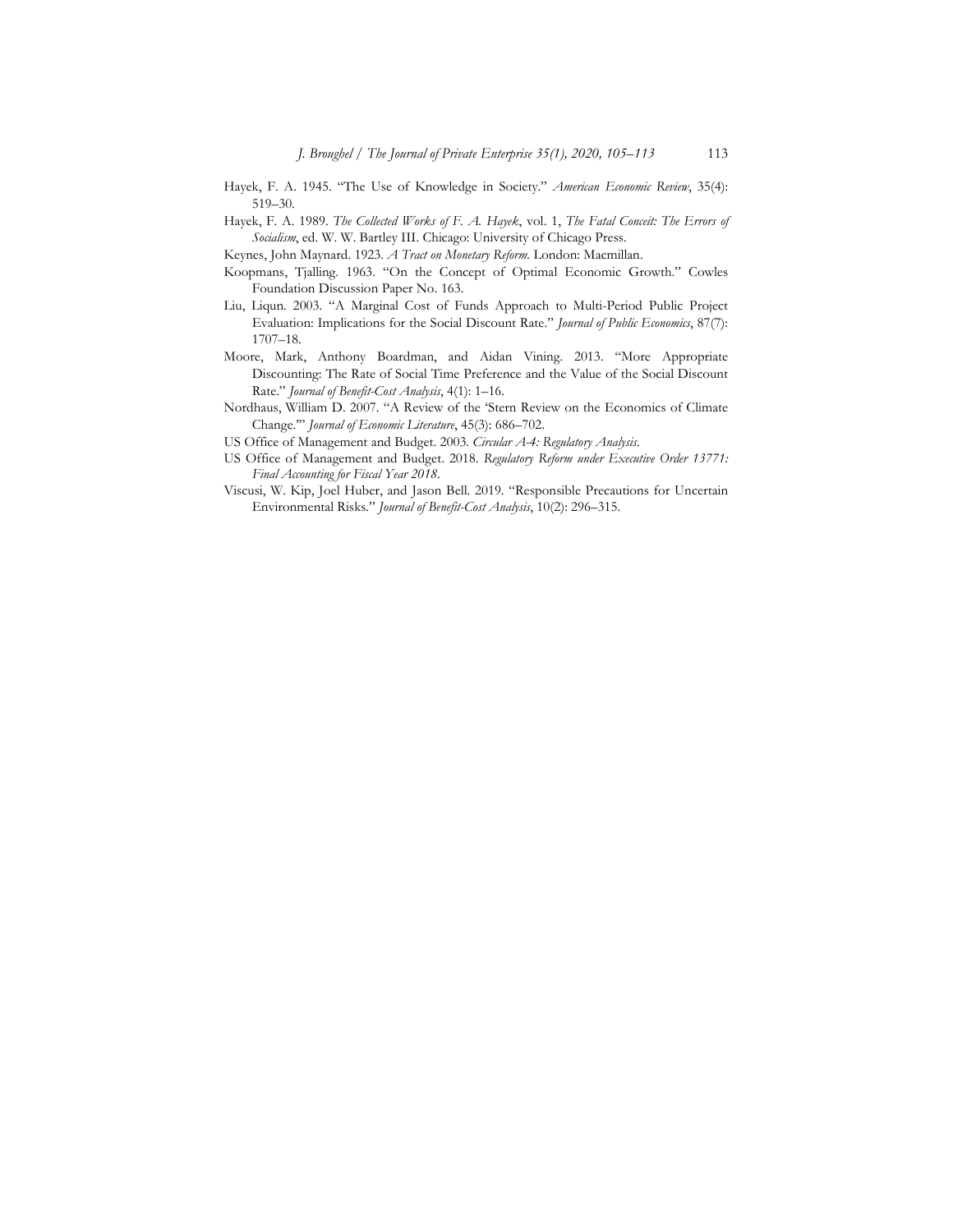- Hayek, F. A. 1945. "The Use of Knowledge in Society." *American Economic Review*, 35(4): 519–30.
- Hayek, F. A. 1989. *The Collected Works of F. A. Hayek*, vol. 1, *The Fatal Conceit: The Errors of Socialism*, ed. W. W. Bartley III. Chicago: University of Chicago Press.
- Keynes, John Maynard. 1923. *A Tract on Monetary Reform.* London: Macmillan.
- Koopmans, Tjalling. 1963. "On the Concept of Optimal Economic Growth." Cowles Foundation Discussion Paper No. 163.
- Liu, Liqun. 2003. "A Marginal Cost of Funds Approach to Multi-Period Public Project Evaluation: Implications for the Social Discount Rate." *Journal of Public Economics*, 87(7): 1707–18.
- Moore, Mark, Anthony Boardman, and Aidan Vining. 2013. "More Appropriate Discounting: The Rate of Social Time Preference and the Value of the Social Discount Rate." *Journal of Benefit-Cost Analysis*, 4(1): 1–16.
- Nordhaus, William D. 2007. "A Review of the 'Stern Review on the Economics of Climate Change.'" *Journal of Economic Literature*, 45(3): 686–702.
- US Office of Management and Budget. 2003. *Circular A-4: Regulatory Analysis*.
- US Office of Management and Budget. 2018. *Regulatory Reform under Executive Order 13771: Final Accounting for Fiscal Year 2018*.
- Viscusi, W. Kip, Joel Huber, and Jason Bell. 2019. "Responsible Precautions for Uncertain Environmental Risks." *Journal of Benefit-Cost Analysis*, 10(2): 296–315.